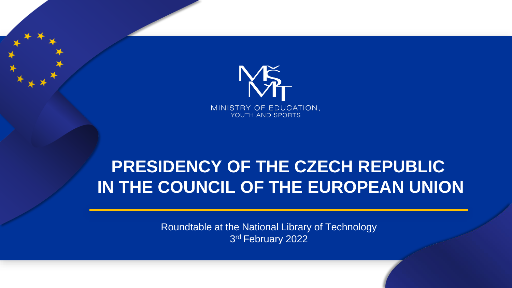

# **PRESIDENCY OF THE CZECH REPUBLIC IN THE COUNCIL OF THE EUROPEAN UNION**

Roundtable at the National Library of Technology 3 rd February 2022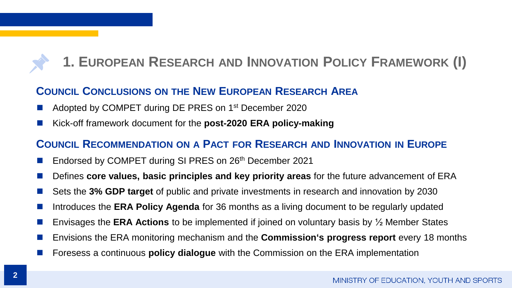## **1. EUROPEAN RESEARCH AND INNOVATION POLICY FRAMEWORK (I)**

### **COUNCIL CONCLUSIONS ON THE NEW EUROPEAN RESEARCH AREA**

- Adopted by COMPET during DE PRES on 1<sup>st</sup> December 2020
- ◼ Kick-off framework document for the **post-2020 ERA policy-making**

### **COUNCIL RECOMMENDATION ON A PACT FOR RESEARCH AND INNOVATION IN EUROPE**

- Endorsed by COMPET during SI PRES on 26<sup>th</sup> December 2021
- ◼ Defines **core values, basic principles and key priority areas** for the future advancement of ERA
- Sets the 3% GDP target of public and private investments in research and innovation by 2030
- Introduces the **ERA Policy Agenda** for 36 months as a living document to be regularly updated
- ◼ Envisages the **ERA Actions** to be implemented if joined on voluntary basis by ½ Member States
- ◼ Envisions the ERA monitoring mechanism and the **Commission's progress report** every 18 months
- ◼ Foresess a continuous **policy dialogue** with the Commission on the ERA implementation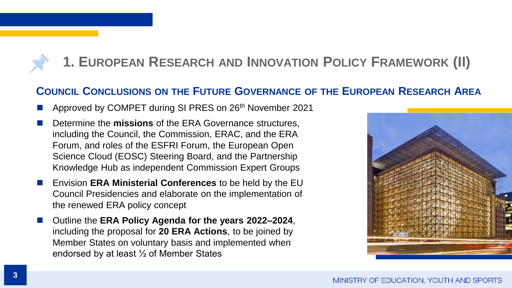## **1. EUROPEAN RESEARCH AND INNOVATION POLICY FRAMEWORK (II)**

### **COUNCIL CONCLUSIONS ON THE FUTURE GOVERNANCE OF THE EUROPEAN RESEARCH AREA**

- Approved by COMPET during SI PRES on 26<sup>th</sup> November 2021
- Determine the **missions** of the ERA Governance structures, including the Council, the Commission, ERAC, and the ERA Forum, and roles of the ESFRI Forum, the European Open Science Cloud (EOSC) Steering Board, and the Partnership Knowledge Hub as independent Commission Expert Groups
- ◼ Envision **ERA Ministerial Conferences** to be held by the EU Council Presidencies and elaborate on the implementation of the renewed ERA policy concept
- ◼ Outline the **ERA Policy Agenda for the years 2022–2024**, including the proposal for **20 ERA Actions**, to be joined by Member States on voluntary basis and implemented when endorsed by at least ½ of Member States

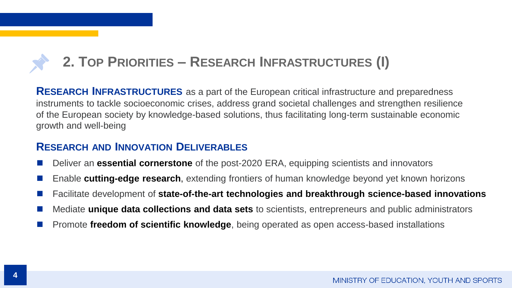## **2. TOP PRIORITIES – RESEARCH INFRASTRUCTURES (I)**

**RESEARCH INFRASTRUCTURES** as a part of the European critical infrastructure and preparedness instruments to tackle socioeconomic crises, address grand societal challenges and strengthen resilience of the European society by knowledge-based solutions, thus facilitating long-term sustainable economic growth and well-being

#### **RESEARCH AND INNOVATION DELIVERABLES**

- ◼ Deliver an **essential cornerstone** of the post-2020 ERA, equipping scientists and innovators
- Enable **cutting-edge research**, extending frontiers of human knowledge beyond yet known horizons
- ◼ Facilitate development of **state-of-the-art technologies and breakthrough science-based innovations**
- ◼ Mediate **unique data collections and data sets** to scientists, entrepreneurs and public administrators
- ◼ Promote **freedom of scientific knowledge**, being operated as open access-based installations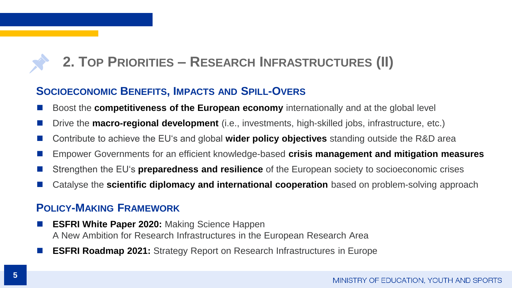## **2. TOP PRIORITIES – RESEARCH INFRASTRUCTURES (II)**

### **SOCIOECONOMIC BENEFITS, IMPACTS AND SPILL-OVERS**

- ◼ Boost the **competitiveness of the European economy** internationally and at the global level
- Drive the **macro-regional development** (i.e., investments, high-skilled jobs, infrastructure, etc.)
- ◼ Contribute to achieve the EU's and global **wider policy objectives** standing outside the R&D area
- ◼ Empower Governments for an efficient knowledge-based **crisis management and mitigation measures**
- Strengthen the EU's **preparedness and resilience** of the European society to socioeconomic crises
- Catalyse the **scientific diplomacy and international cooperation** based on problem-solving approach

### **POLICY-MAKING FRAMEWORK**

- **ESFRI White Paper 2020: Making Science Happen** A New Ambition for Research Infrastructures in the European Research Area
- **ESFRI Roadmap 2021:** Strategy Report on Research Infrastructures in Europe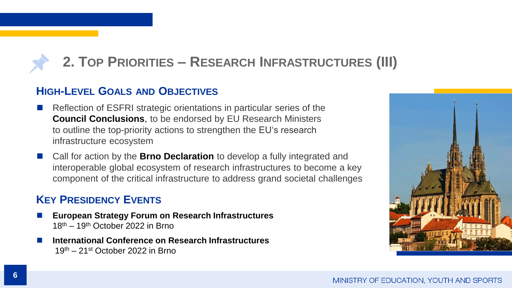## **2. TOP PRIORITIES – RESEARCH INFRASTRUCTURES (III)**

### **HIGH-LEVEL GOALS AND OBJECTIVES**

- Reflection of ESFRI strategic orientations in particular series of the **Council Conclusions**, to be endorsed by EU Research Ministers to outline the top-priority actions to strengthen the EU's research infrastructure ecosystem
- ◼ Call for action by the **Brno Declaration** to develop a fully integrated and interoperable global ecosystem of research infrastructures to become a key component of the critical infrastructure to address grand societal challenges

### **KEY PRESIDENCY EVENTS**

- ◼ **European Strategy Forum on Research Infrastructures** 18th – 19th October 2022 in Brno
- ◼ **International Conference on Research Infrastructures** 19th – 21st October 2022 in Brno

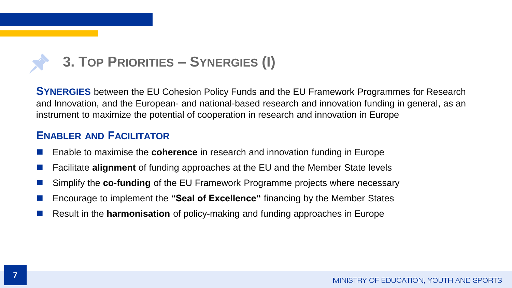

**SYNERGIES** between the EU Cohesion Policy Funds and the EU Framework Programmes for Research and Innovation, and the European- and national-based research and innovation funding in general, as an instrument to maximize the potential of cooperation in research and innovation in Europe

#### **ENABLER AND FACILITATOR**

- ◼ Enable to maximise the **coherence** in research and innovation funding in Europe
- ◼ Facilitate **alignment** of funding approaches at the EU and the Member State levels
- Simplify the **co-funding** of the EU Framework Programme projects where necessary
- ◼ Encourage to implement the **"Seal of Excellence"** financing by the Member States
- ◼ Result in the **harmonisation** of policy-making and funding approaches in Europe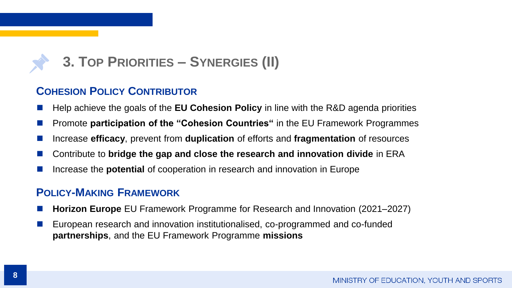## **3. TOP PRIORITIES – SYNERGIES (II)**

### **COHESION POLICY CONTRIBUTOR**

- ◼ Help achieve the goals of the **EU Cohesion Policy** in line with the R&D agenda priorities
- ◼ Promote **participation of the "Cohesion Countries"** in the EU Framework Programmes
- ◼ Increase **efficacy**, prevent from **duplication** of efforts and **fragmentation** of resources
- ◼ Contribute to **bridge the gap and close the research and innovation divide** in ERA
- Increase the **potential** of cooperation in research and innovation in Europe

### **POLICY-MAKING FRAMEWORK**

- **Horizon Europe** EU Framework Programme for Research and Innovation (2021–2027)
- ◼ European research and innovation institutionalised, co-programmed and co-funded **partnerships**, and the EU Framework Programme **missions**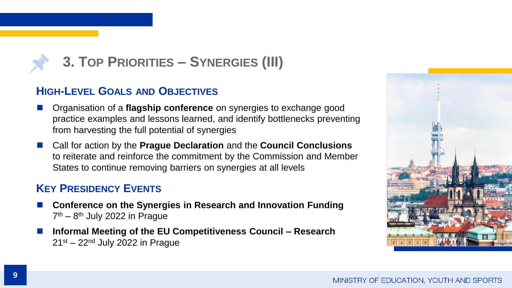

### **HIGH-LEVEL GOALS AND OBJECTIVES**

- ◼ Organisation of a **flagship conference** on synergies to exchange good practice examples and lessons learned, and identify bottlenecks preventing from harvesting the full potential of synergies
- ◼ Call for action by the **Prague Declaration** and the **Council Conclusions** to reiterate and reinforce the commitment by the Commission and Member States to continue removing barriers on synergies at all levels

### **KEY PRESIDENCY EVENTS**

- ◼ **Conference on the Synergies in Research and Innovation Funding** 7<sup>th</sup> – 8<sup>th</sup> July 2022 in Prague
- ◼ **Informal Meeting of the EU Competitiveness Council – Research**  $21<sup>st</sup> - 22<sup>nd</sup>$  July 2022 in Prague

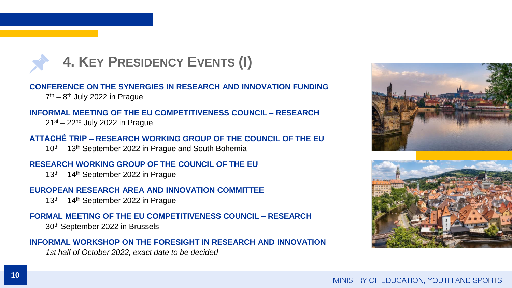

**CONFERENCE ON THE SYNERGIES IN RESEARCH AND INNOVATION FUNDING**

7<sup>th</sup> – 8<sup>th</sup> July 2022 in Prague

#### **INFORMAL MEETING OF THE EU COMPETITIVENESS COUNCIL – RESEARCH**

 $21<sup>st</sup> - 22<sup>nd</sup>$  July 2022 in Prague

#### **ATTACHÉ TRIP – RESEARCH WORKING GROUP OF THE COUNCIL OF THE EU**

10th – 13th September 2022 in Prague and South Bohemia

#### **RESEARCH WORKING GROUP OF THE COUNCIL OF THE EU**

13th – 14th September 2022 in Prague

#### **EUROPEAN RESEARCH AREA AND INNOVATION COMMITTEE**

13th – 14th September 2022 in Prague

#### **FORMAL MEETING OF THE EU COMPETITIVENESS COUNCIL – RESEARCH**

30th September 2022 in Brussels

#### **INFORMAL WORKSHOP ON THE FORESIGHT IN RESEARCH AND INNOVATION**

*1st half of October 2022, exact date to be decided*



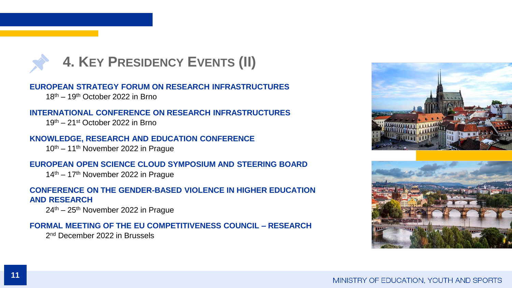

**EUROPEAN STRATEGY FORUM ON RESEARCH INFRASTRUCTURES**

18th – 19th October 2022 in Brno

#### **INTERNATIONAL CONFERENCE ON RESEARCH INFRASTRUCTURES**

19th – 21st October 2022 in Brno

#### **KNOWLEDGE, RESEARCH AND EDUCATION CONFERENCE**

10th – 11th November 2022 in Prague

#### **EUROPEAN OPEN SCIENCE CLOUD SYMPOSIUM AND STEERING BOARD**

14th – 17th November 2022 in Prague

#### **CONFERENCE ON THE GENDER-BASED VIOLENCE IN HIGHER EDUCATION AND RESEARCH**

 $24<sup>th</sup> - 25<sup>th</sup>$  November 2022 in Prague

#### **FORMAL MEETING OF THE EU COMPETITIVENESS COUNCIL – RESEARCH**

2<sup>nd</sup> December 2022 in Brussels